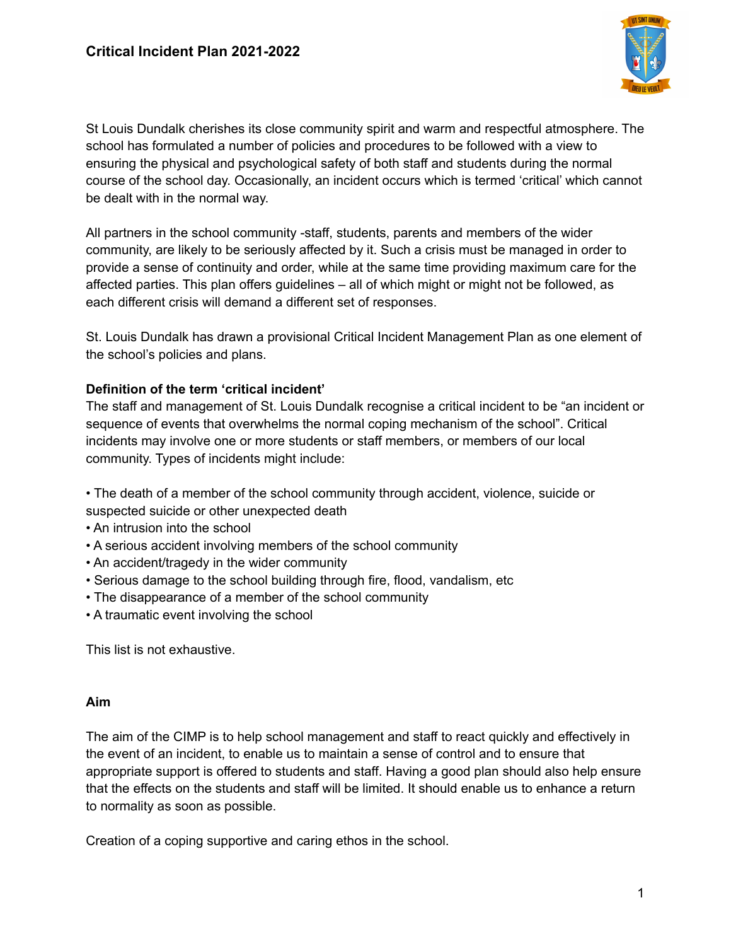

St Louis Dundalk cherishes its close community spirit and warm and respectful atmosphere. The school has formulated a number of policies and procedures to be followed with a view to ensuring the physical and psychological safety of both staff and students during the normal course of the school day. Occasionally, an incident occurs which is termed 'critical' which cannot be dealt with in the normal way.

All partners in the school community -staff, students, parents and members of the wider community, are likely to be seriously affected by it. Such a crisis must be managed in order to provide a sense of continuity and order, while at the same time providing maximum care for the affected parties. This plan offers guidelines – all of which might or might not be followed, as each different crisis will demand a different set of responses.

St. Louis Dundalk has drawn a provisional Critical Incident Management Plan as one element of the school's policies and plans.

## **Definition of the term 'critical incident'**

The staff and management of St. Louis Dundalk recognise a critical incident to be "an incident or sequence of events that overwhelms the normal coping mechanism of the school". Critical incidents may involve one or more students or staff members, or members of our local community. Types of incidents might include:

- The death of a member of the school community through accident, violence, suicide or suspected suicide or other unexpected death
- An intrusion into the school
- A serious accident involving members of the school community
- An accident/tragedy in the wider community
- Serious damage to the school building through fire, flood, vandalism, etc
- The disappearance of a member of the school community
- A traumatic event involving the school

This list is not exhaustive.

## **Aim**

The aim of the CIMP is to help school management and staff to react quickly and effectively in the event of an incident, to enable us to maintain a sense of control and to ensure that appropriate support is offered to students and staff. Having a good plan should also help ensure that the effects on the students and staff will be limited. It should enable us to enhance a return to normality as soon as possible.

Creation of a coping supportive and caring ethos in the school.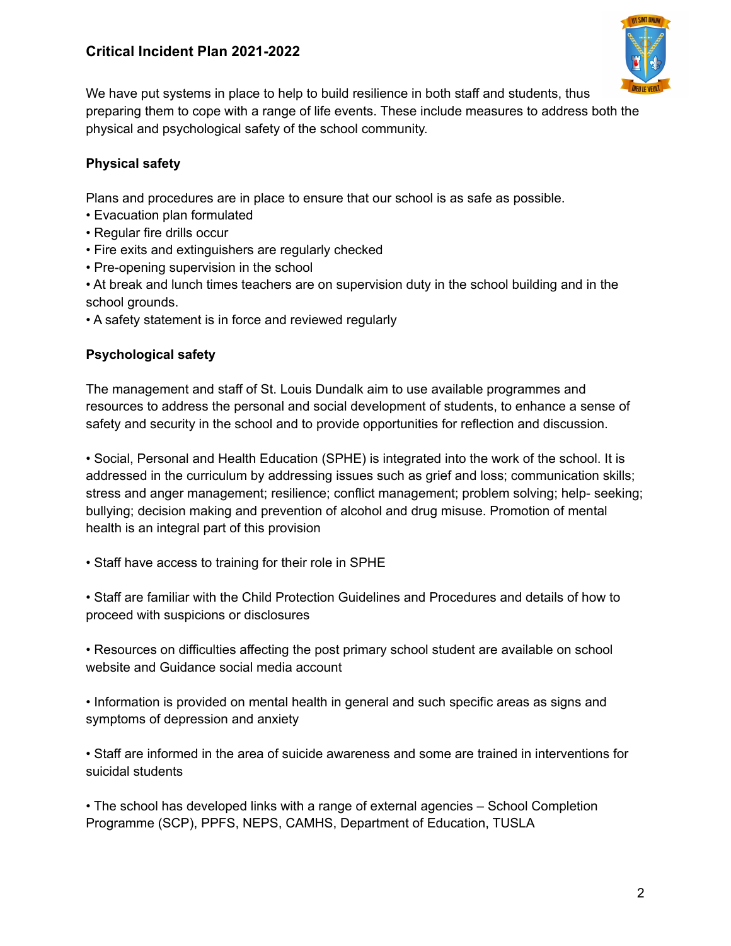# **Critical Incident Plan 2021-2022**



We have put systems in place to help to build resilience in both staff and students, thus preparing them to cope with a range of life events. These include measures to address both the physical and psychological safety of the school community.

# **Physical safety**

Plans and procedures are in place to ensure that our school is as safe as possible.

- Evacuation plan formulated
- Regular fire drills occur
- Fire exits and extinguishers are regularly checked
- Pre-opening supervision in the school

• At break and lunch times teachers are on supervision duty in the school building and in the school grounds.

• A safety statement is in force and reviewed regularly

# **Psychological safety**

The management and staff of St. Louis Dundalk aim to use available programmes and resources to address the personal and social development of students, to enhance a sense of safety and security in the school and to provide opportunities for reflection and discussion.

• Social, Personal and Health Education (SPHE) is integrated into the work of the school. It is addressed in the curriculum by addressing issues such as grief and loss; communication skills; stress and anger management; resilience; conflict management; problem solving; help- seeking; bullying; decision making and prevention of alcohol and drug misuse. Promotion of mental health is an integral part of this provision

• Staff have access to training for their role in SPHE

• Staff are familiar with the Child Protection Guidelines and Procedures and details of how to proceed with suspicions or disclosures

• Resources on difficulties affecting the post primary school student are available on school website and Guidance social media account

• Information is provided on mental health in general and such specific areas as signs and symptoms of depression and anxiety

• Staff are informed in the area of suicide awareness and some are trained in interventions for suicidal students

• The school has developed links with a range of external agencies – School Completion Programme (SCP), PPFS, NEPS, CAMHS, Department of Education, TUSLA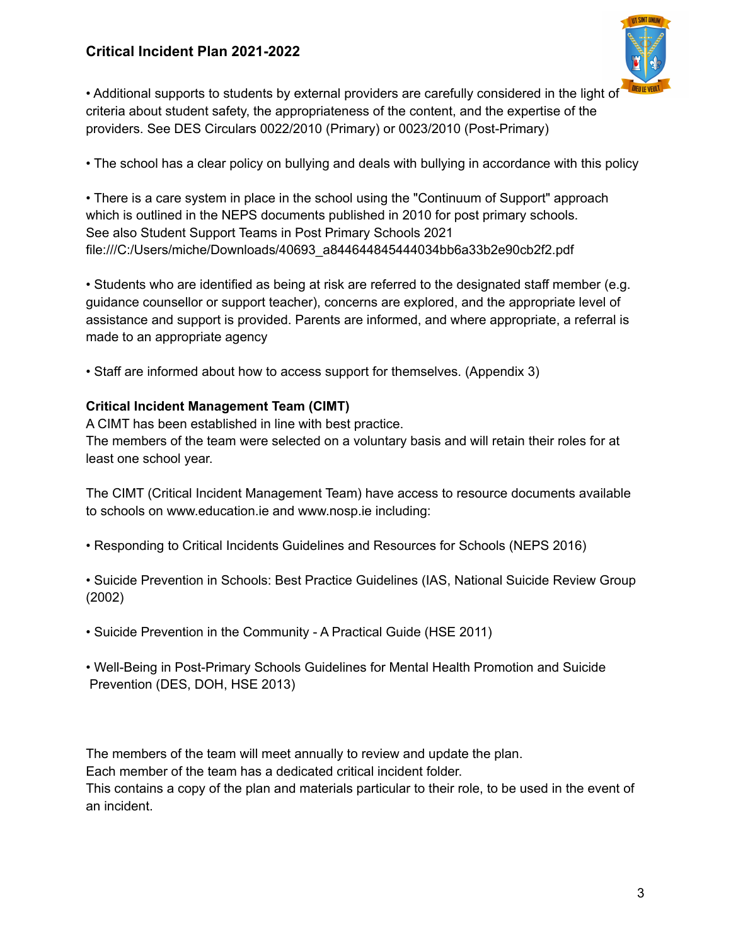# **Critical Incident Plan 2021-2022**



• Additional supports to students by external providers are carefully considered in the light of criteria about student safety, the appropriateness of the content, and the expertise of the providers. See DES Circulars 0022/2010 (Primary) or 0023/2010 (Post-Primary)

• The school has a clear policy on bullying and deals with bullying in accordance with this policy

• There is a care system in place in the school using the "Continuum of Support" approach which is outlined in the NEPS documents published in 2010 for post primary schools. See also Student Support Teams in Post Primary Schools 2021 file:///C:/Users/miche/Downloads/40693\_a844644845444034bb6a33b2e90cb2f2.pdf

• Students who are identified as being at risk are referred to the designated staff member (e.g. guidance counsellor or support teacher), concerns are explored, and the appropriate level of assistance and support is provided. Parents are informed, and where appropriate, a referral is made to an appropriate agency

• Staff are informed about how to access support for themselves. (Appendix 3)

## **Critical Incident Management Team (CIMT)**

A CIMT has been established in line with best practice. The members of the team were selected on a voluntary basis and will retain their roles for at least one school year.

The CIMT (Critical Incident Management Team) have access to resource documents available to schools on www.education.ie and www.nosp.ie including:

- Responding to Critical Incidents Guidelines and Resources for Schools (NEPS 2016)
- Suicide Prevention in Schools: Best Practice Guidelines (IAS, National Suicide Review Group (2002)
- Suicide Prevention in the Community A Practical Guide (HSE 2011)
- Well-Being in Post-Primary Schools Guidelines for Mental Health Promotion and Suicide Prevention (DES, DOH, HSE 2013)

The members of the team will meet annually to review and update the plan.

Each member of the team has a dedicated critical incident folder.

This contains a copy of the plan and materials particular to their role, to be used in the event of an incident.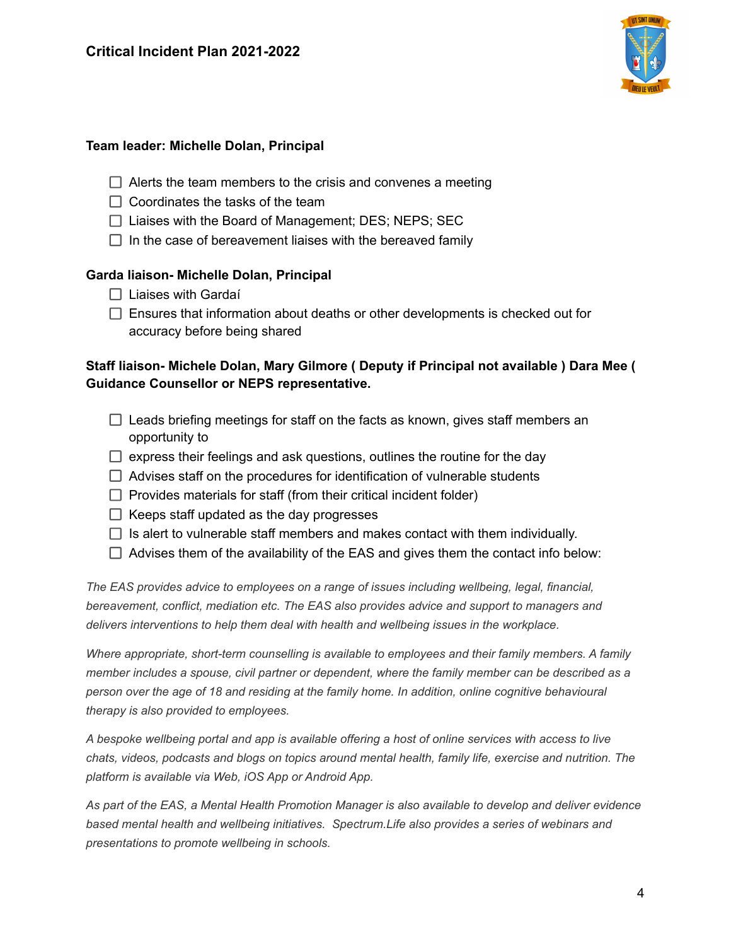

### **Team leader: Michelle Dolan, Principal**

- $\Box$  Alerts the team members to the crisis and convenes a meeting
- $\Box$  Coordinates the tasks of the team
- $\Box$  Liaises with the Board of Management; DES; NEPS; SEC
- $\Box$  In the case of bereavement liaises with the bereaved family

### **Garda liaison- Michelle Dolan, Principal**

- $\Box$  Liaises with Gardaí
- $\Box$  Ensures that information about deaths or other developments is checked out for accuracy before being shared

## **Staff liaison- Michele Dolan, Mary Gilmore ( Deputy if Principal not available ) Dara Mee ( Guidance Counsellor or NEPS representative.**

- $\Box$  Leads briefing meetings for staff on the facts as known, gives staff members an opportunity to
- $\Box$  express their feelings and ask questions, outlines the routine for the day
- $\Box$  Advises staff on the procedures for identification of vulnerable students
- $\Box$  Provides materials for staff (from their critical incident folder)
- $\Box$  Keeps staff updated as the day progresses
- $\Box$  Is alert to vulnerable staff members and makes contact with them individually.
- $\Box$  Advises them of the availability of the EAS and gives them the contact info below:

*The EAS provides advice to employees on a range of issues including wellbeing, legal, financial, bereavement, conflict, mediation etc. The EAS also provides advice and support to managers and delivers interventions to help them deal with health and wellbeing issues in the workplace.*

*Where appropriate, short-term counselling is available to employees and their family members. A family member includes a spouse, civil partner or dependent, where the family member can be described as a person over the age of 18 and residing at the family home. In addition, online cognitive behavioural therapy is also provided to employees.*

A bespoke wellbeing portal and app is available offering a host of online services with access to live *chats, videos, podcasts and blogs on topics around mental health, family life, exercise and nutrition. The platform is available via Web, iOS App or Android App.*

As part of the EAS, a Mental Health Promotion Manager is also available to develop and deliver evidence *based mental health and wellbeing initiatives. Spectrum.Life also provides a series of webinars and presentations to promote wellbeing in schools.*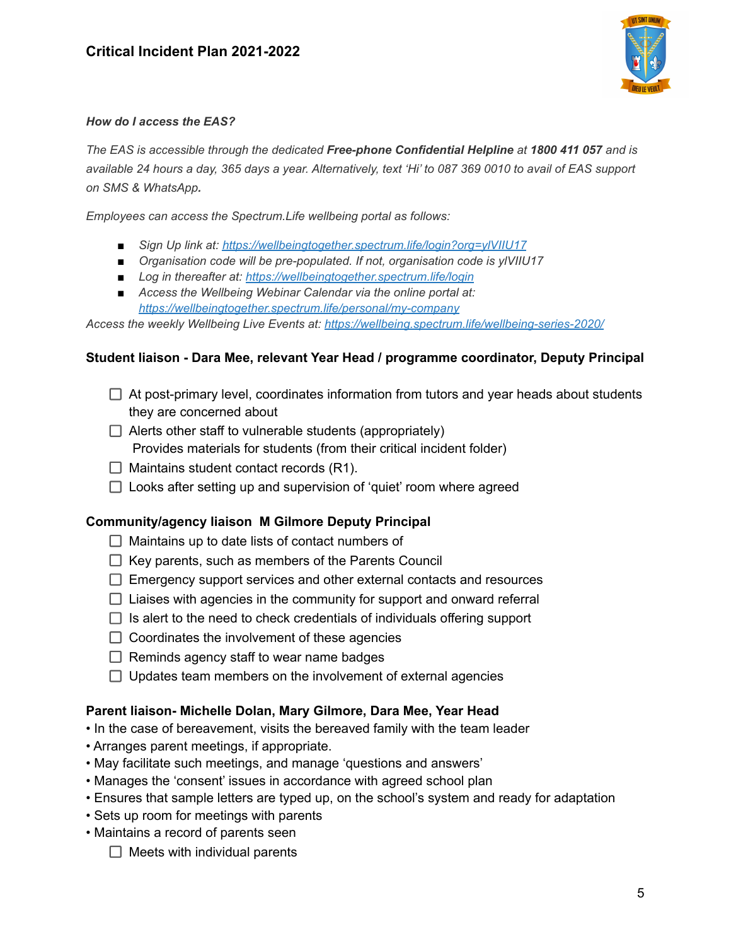

#### *How do I access the EAS?*

*The EAS is accessible through the dedicated Free-phone Confidential Helpline at 1800 411 057 and is* available 24 hours a day, 365 days a year. Alternatively, text 'Hi' to 087 369 0010 to avail of EAS support *on SMS & WhatsApp.*

*Employees can access the Spectrum.Life wellbeing portal as follows:*

- *■ Sign Up link at: <https://wellbeingtogether.spectrum.life/login?org=ylVIIU17>*
- *■ Organisation code will be pre-populated. If not, organisation code is ylVIIU17*
- *■ Log in thereafter at: <https://wellbeingtogether.spectrum.life/login>*
- *Access the Wellbeing Webinar Calendar via the online portal at[:](https://wellbeingtogether.spectrum.life/personal/my-company) <https://wellbeingtogether.spectrum.life/personal/my-company>*

*Access the weekly Wellbeing Live Events at: <https://wellbeing.spectrum.life/wellbeing-series-2020/>*

#### **Student liaison - Dara Mee, relevant Year Head / programme coordinator, Deputy Principal**

- $\Box$  At post-primary level, coordinates information from tutors and year heads about students they are concerned about
- $\Box$  Alerts other staff to vulnerable students (appropriately) Provides materials for students (from their critical incident folder)
- $\Box$  Maintains student contact records (R1).
- $\Box$  Looks after setting up and supervision of 'quiet' room where agreed

#### **Community/agency liaison M Gilmore Deputy Principal**

- $\Box$  Maintains up to date lists of contact numbers of
- $\Box$  Key parents, such as members of the Parents Council
- $\Box$  Emergency support services and other external contacts and resources
- $\Box$  Liaises with agencies in the community for support and onward referral
- $\Box$  Is alert to the need to check credentials of individuals offering support
- $\Box$  Coordinates the involvement of these agencies
- $\Box$  Reminds agency staff to wear name badges
- $\Box$  Updates team members on the involvement of external agencies

#### **Parent liaison- Michelle Dolan, Mary Gilmore, Dara Mee, Year Head**

- In the case of bereavement, visits the bereaved family with the team leader
- Arranges parent meetings, if appropriate.
- May facilitate such meetings, and manage 'questions and answers'
- Manages the 'consent' issues in accordance with agreed school plan
- Ensures that sample letters are typed up, on the school's system and ready for adaptation
- Sets up room for meetings with parents
- Maintains a record of parents seen
	- $\Box$  Meets with individual parents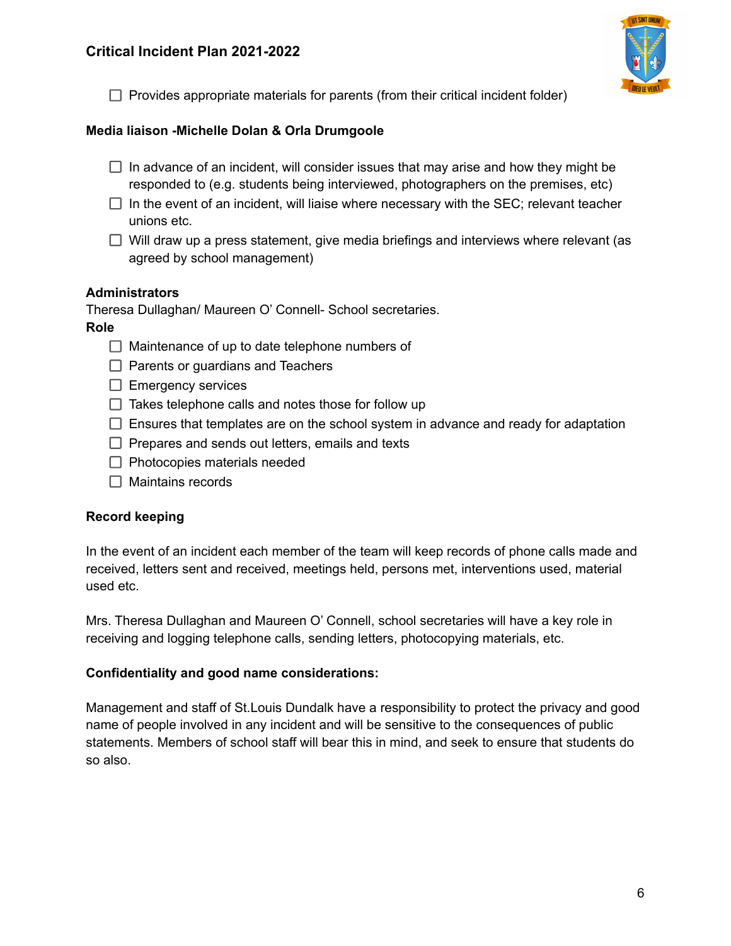

 $\Box$  Provides appropriate materials for parents (from their critical incident folder)

### **Media liaison -Michelle Dolan & Orla Drumgoole**

- $\Box$  In advance of an incident, will consider issues that may arise and how they might be responded to (e.g. students being interviewed, photographers on the premises, etc)
- $\Box$  In the event of an incident, will liaise where necessary with the SEC; relevant teacher unions etc.
- $\Box$  Will draw up a press statement, give media briefings and interviews where relevant (as agreed by school management)

#### **Administrators**

Theresa Dullaghan/ Maureen O' Connell- School secretaries.

### **Role**

- $\Box$  Maintenance of up to date telephone numbers of
- $\Box$  Parents or guardians and Teachers
- $\Box$  Emergency services
- $\Box$  Takes telephone calls and notes those for follow up
- $\Box$  Ensures that templates are on the school system in advance and ready for adaptation
- $\Box$  Prepares and sends out letters, emails and texts
- $\Box$  Photocopies materials needed
- $\Box$  Maintains records

## **Record keeping**

In the event of an incident each member of the team will keep records of phone calls made and received, letters sent and received, meetings held, persons met, interventions used, material used etc.

Mrs. Theresa Dullaghan and Maureen O' Connell, school secretaries will have a key role in receiving and logging telephone calls, sending letters, photocopying materials, etc.

#### **Confidentiality and good name considerations:**

Management and staff of St.Louis Dundalk have a responsibility to protect the privacy and good name of people involved in any incident and will be sensitive to the consequences of public statements. Members of school staff will bear this in mind, and seek to ensure that students do so also.